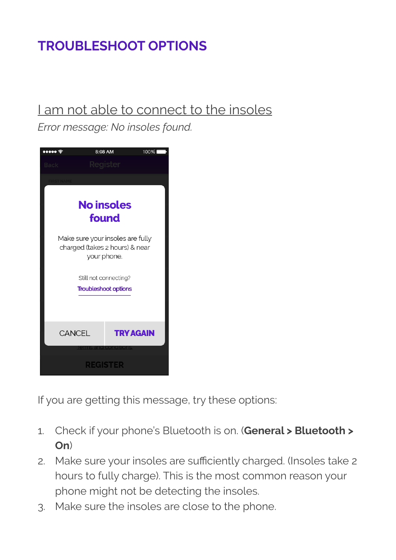# **TROUBLESHOOT OPTIONS**

### I am not able to connect to the insoles

*Error message: No insoles found.* 



If you are getting this message, try these options:

- 1. Check if your phone's Bluetooth is on. (**General > Bluetooth > On**)
- 2. Make sure your insoles are sufficiently charged. (Insoles take 2 hours to fully charge). This is the most common reason your phone might not be detecting the insoles.
- 3. Make sure the insoles are close to the phone.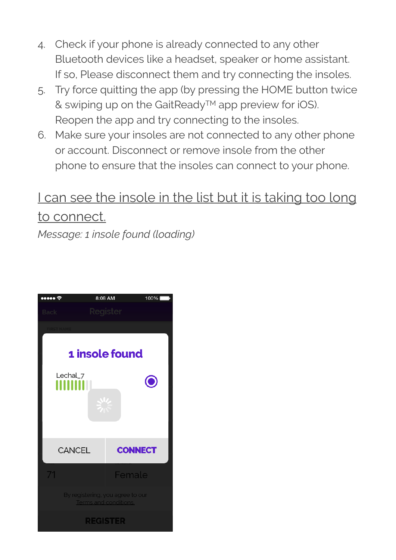- 4. Check if your phone is already connected to any other Bluetooth devices like a headset, speaker or home assistant. If so, Please disconnect them and try connecting the insoles.
- 5. Try force quitting the app (by pressing the HOME button twice & swiping up on the GaitReady™ app preview for iOS). Reopen the app and try connecting to the insoles.
- 6. Make sure your insoles are not connected to any other phone or account. Disconnect or remove insole from the other phone to ensure that the insoles can connect to your phone.

## I can see the insole in the list but it is taking too long to connect.

*Message: 1 insole found (loading)* 

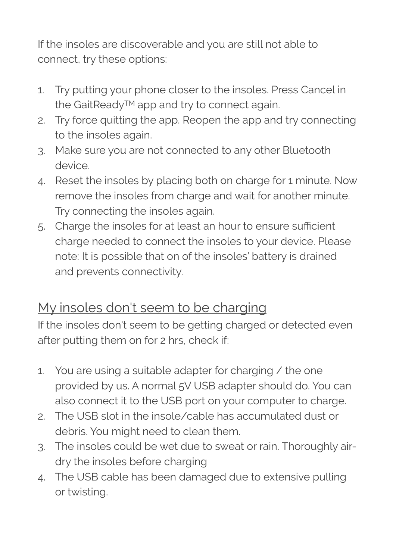If the insoles are discoverable and you are still not able to connect, try these options:

- 1. Try putting your phone closer to the insoles. Press Cancel in the GaitReady™ app and try to connect again.
- 2. Try force quitting the app. Reopen the app and try connecting to the insoles again.
- 3. Make sure you are not connected to any other Bluetooth device.
- 4. Reset the insoles by placing both on charge for 1 minute. Now remove the insoles from charge and wait for another minute. Try connecting the insoles again.
- 5. Charge the insoles for at least an hour to ensure sufficient charge needed to connect the insoles to your device. Please note: It is possible that on of the insoles' battery is drained and prevents connectivity.

### My insoles don't seem to be charging

If the insoles don't seem to be getting charged or detected even after putting them on for 2 hrs, check if:

- 1. You are using a suitable adapter for charging / the one provided by us. A normal 5V USB adapter should do. You can also connect it to the USB port on your computer to charge.
- 2. The USB slot in the insole/cable has accumulated dust or debris. You might need to clean them.
- 3. The insoles could be wet due to sweat or rain. Thoroughly airdry the insoles before charging
- 4. The USB cable has been damaged due to extensive pulling or twisting.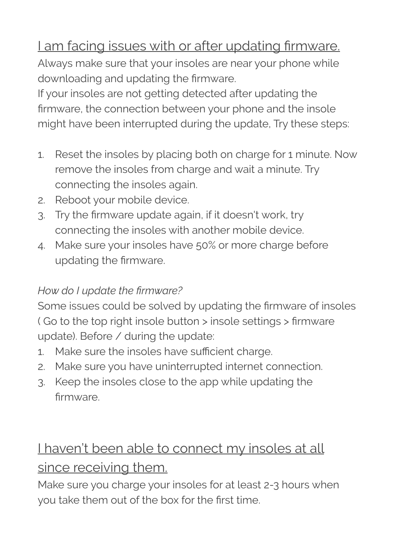## I am facing issues with or after updating firmware.

Always make sure that your insoles are near your phone while downloading and updating the firmware.

If your insoles are not getting detected after updating the firmware, the connection between your phone and the insole might have been interrupted during the update, Try these steps:

- 1. Reset the insoles by placing both on charge for 1 minute. Now remove the insoles from charge and wait a minute. Try connecting the insoles again.
- 2. Reboot your mobile device.
- 3. Try the firmware update again, if it doesn't work, try connecting the insoles with another mobile device.
- 4. Make sure your insoles have 50% or more charge before updating the firmware.

#### *How do I update the firmware?*

Some issues could be solved by updating the firmware of insoles ( Go to the top right insole button > insole settings > firmware update). Before / during the update:

- 1. Make sure the insoles have sufficient charge.
- 2. Make sure you have uninterrupted internet connection.
- 3. Keep the insoles close to the app while updating the firmware.

# I haven't been able to connect my insoles at all since receiving them.

Make sure you charge your insoles for at least 2-3 hours when you take them out of the box for the first time.